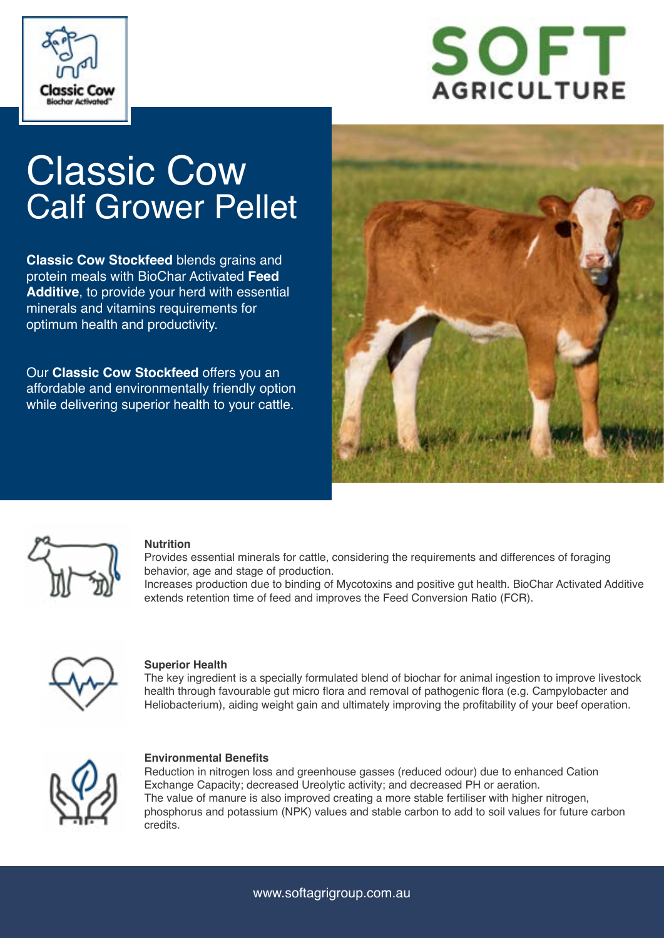



# Classic Cow Calf Grower Pellet

**Classic Cow Stockfeed** blends grains and protein meals with BioChar Activated **Feed Additive**, to provide your herd with essential minerals and vitamins requirements for optimum health and productivity.

Our **Classic Cow Stockfeed** offers you an affordable and environmentally friendly option while delivering superior health to your cattle.





#### **Nutrition**

Provides essential minerals for cattle, considering the requirements and differences of foraging behavior, age and stage of production.

Increases production due to binding of Mycotoxins and positive gut health. BioChar Activated Additive extends retention time of feed and improves the Feed Conversion Ratio (FCR).



#### **Superior Health**

The key ingredient is a specially formulated blend of biochar for animal ingestion to improve livestock health through favourable gut micro flora and removal of pathogenic flora (e.g. Campylobacter and Heliobacterium), aiding weight gain and ultimately improving the profitability of your beef operation.



#### **Environmental Benefits**

Reduction in nitrogen loss and greenhouse gasses (reduced odour) due to enhanced Cation Exchange Capacity; decreased Ureolytic activity; and decreased PH or aeration. The value of manure is also improved creating a more stable fertiliser with higher nitrogen, phosphorus and potassium (NPK) values and stable carbon to add to soil values for future carbon credits.